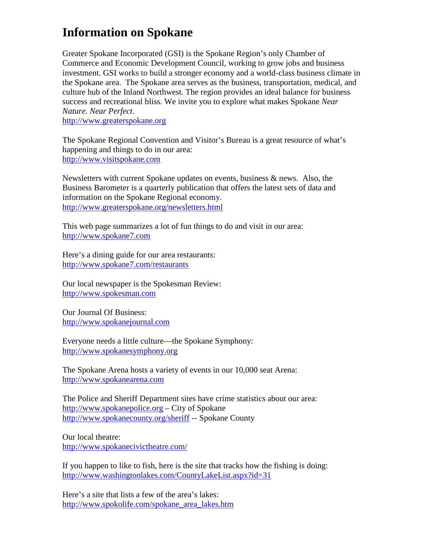## **Information on Spokane**

Greater Spokane Incorporated (GSI) is the Spokane Region's only Chamber of Commerce and Economic Development Council, working to grow jobs and business investment. GSI works to build a stronger economy and a world-class business climate in the Spokane area. The Spokane area serves as the business, transportation, medical, and culture hub of the Inland Northwest. The region provides an ideal balance for business success and recreational bliss. We invite you to explore what makes Spokane *Near Nature. Near Perfect*.

http://www.greaterspokane.org

The Spokane Regional Convention and Visitor's Bureau is a great resource of what's happening and things to do in our area: http://www.visitspokane.com

Newsletters with current Spokane updates on events, business & news. Also, the Business Barometer is a quarterly publication that offers the latest sets of data and information on the Spokane Regional economy. http://www.greaterspokane.org/newsletters.html

This web page summarizes a lot of fun things to do and visit in our area: http://www.spokane7.com

Here's a dining guide for our area restaurants: http://www.spokane7.com/restaurants

Our local newspaper is the Spokesman Review: http://www.spokesman.com

Our Journal Of Business: http://www.spokanejournal.com

Everyone needs a little culture—the Spokane Symphony: http://www.spokanesymphony.org

The Spokane Arena hosts a variety of events in our 10,000 seat Arena: http://www.spokanearena.com

The Police and Sheriff Department sites have crime statistics about our area: http://www.spokanepolice.org – City of Spokane http://www.spokanecounty.org/sheriff -- Spokane County

Our local theatre: http://www.spokanecivictheatre.com/

If you happen to like to fish, here is the site that tracks how the fishing is doing: http://www.washingtonlakes.com/CountyLakeList.aspx?id=31

Here's a site that lists a few of the area's lakes: http://www.spokolife.com/spokane\_area\_lakes.htm